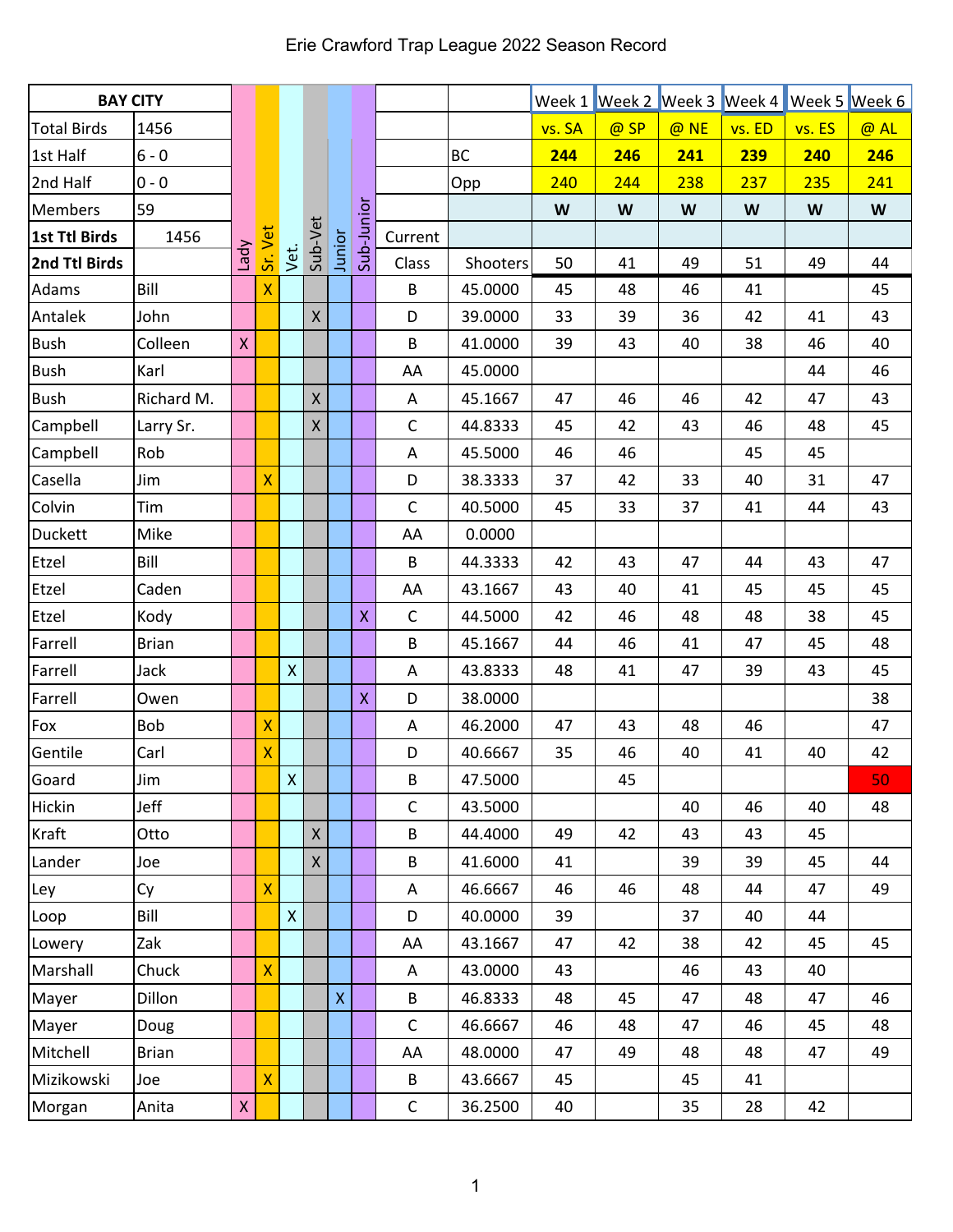| <b>BAY CITY</b>    |              |              |                    |                    |                 |                    |                         |              |           |        |      |      | Week 1 Week 2 Week 3 Week 4 Week 5 Week 6 |        |                           |
|--------------------|--------------|--------------|--------------------|--------------------|-----------------|--------------------|-------------------------|--------------|-----------|--------|------|------|-------------------------------------------|--------|---------------------------|
| <b>Total Birds</b> | 1456         |              |                    |                    |                 |                    |                         |              |           | vs. SA | @ SP | @ NE | vs. ED                                    | vs. ES | @ AL                      |
| 1st Half           | $6 - 0$      |              |                    |                    |                 |                    |                         |              | <b>BC</b> | 244    | 246  | 241  | 239                                       | 240    | 246                       |
| 2nd Half           | $0 - 0$      |              |                    |                    |                 |                    |                         |              | Opp       | 240    | 244  | 238  | 237                                       | 235    | 241                       |
| <b>Members</b>     | 59           |              |                    |                    |                 |                    |                         |              |           | W      | W    | W    | W                                         | W      | $\boldsymbol{\mathsf{W}}$ |
| 1st Ttl Birds      | 1456         |              | Sr. Vet            |                    | Vet.<br>Sub-Vet |                    | Junior<br>Sub-Junior    | Current      |           |        |      |      |                                           |        |                           |
| 2nd Ttl Birds      |              | Vpey         |                    |                    |                 |                    |                         | Class        | Shooters  | 50     | 41   | 49   | 51                                        | 49     | 44                        |
| Adams              | Bill         |              | $\mathsf{X}$       |                    |                 |                    |                         | B            | 45.0000   | 45     | 48   | 46   | 41                                        |        | 45                        |
| Antalek            | John         |              |                    |                    | $\mathsf{X}$    |                    |                         | D            | 39.0000   | 33     | 39   | 36   | 42                                        | 41     | 43                        |
| <b>Bush</b>        | Colleen      | $\mathsf{X}$ |                    |                    |                 |                    |                         | B            | 41.0000   | 39     | 43   | 40   | 38                                        | 46     | 40                        |
| <b>Bush</b>        | Karl         |              |                    |                    |                 |                    |                         | AA           | 45.0000   |        |      |      |                                           | 44     | 46                        |
| <b>Bush</b>        | Richard M.   |              |                    |                    | $\mathsf{X}$    |                    |                         | A            | 45.1667   | 47     | 46   | 46   | 42                                        | 47     | 43                        |
| Campbell           | Larry Sr.    |              |                    |                    | $\mathsf{X}$    |                    |                         | $\mathsf C$  | 44.8333   | 45     | 42   | 43   | 46                                        | 48     | 45                        |
| Campbell           | Rob          |              |                    |                    |                 |                    |                         | A            | 45.5000   | 46     | 46   |      | 45                                        | 45     |                           |
| Casella            | Jim          |              | X                  |                    |                 |                    |                         | D            | 38.3333   | 37     | 42   | 33   | 40                                        | 31     | 47                        |
| Colvin             | Tim          |              |                    |                    |                 |                    |                         | $\mathsf{C}$ | 40.5000   | 45     | 33   | 37   | 41                                        | 44     | 43                        |
| <b>Duckett</b>     | Mike         |              |                    |                    |                 |                    |                         | AA           | 0.0000    |        |      |      |                                           |        |                           |
| Etzel              | Bill         |              |                    |                    |                 |                    |                         | B            | 44.3333   | 42     | 43   | 47   | 44                                        | 43     | 47                        |
| Etzel              | Caden        |              |                    |                    |                 |                    |                         | AA           | 43.1667   | 43     | 40   | 41   | 45                                        | 45     | 45                        |
| Etzel              | Kody         |              |                    |                    |                 |                    | $\pmb{\mathsf{X}}$      | $\mathsf{C}$ | 44.5000   | 42     | 46   | 48   | 48                                        | 38     | 45                        |
| Farrell            | <b>Brian</b> |              |                    |                    |                 |                    |                         | B            | 45.1667   | 44     | 46   | 41   | 47                                        | 45     | 48                        |
| Farrell            | Jack         |              |                    | $\pmb{\mathsf{X}}$ |                 |                    |                         | A            | 43.8333   | 48     | 41   | 47   | 39                                        | 43     | 45                        |
| Farrell            | Owen         |              |                    |                    |                 |                    | $\overline{\mathsf{X}}$ | D            | 38.0000   |        |      |      |                                           |        | 38                        |
| Fox                | Bob          |              | X                  |                    |                 |                    |                         | Α            | 46.2000   | 47     | 43   | 48   | 46                                        |        | 47                        |
| Gentile            | Carl         |              | $\bar{\mathsf{X}}$ |                    |                 |                    |                         | D            | 40.6667   | 35     | 46   | 40   | 41                                        | 40     | 42                        |
| Goard              | Jim          |              |                    | $\mathsf X$        |                 |                    |                         | B            | 47.5000   |        | 45   |      |                                           |        | 50                        |
| <b>Hickin</b>      | Jeff         |              |                    |                    |                 |                    |                         | $\mathsf C$  | 43.5000   |        |      | 40   | 46                                        | 40     | 48                        |
| Kraft              | Otto         |              |                    |                    | $\mathsf{X}$    |                    |                         | B            | 44.4000   | 49     | 42   | 43   | 43                                        | 45     |                           |
| Lander             | Joe          |              |                    |                    | $\mathsf{X}$    |                    |                         | B            | 41.6000   | 41     |      | 39   | 39                                        | 45     | 44                        |
| Ley                | Cy           |              | X                  |                    |                 |                    |                         | A            | 46.6667   | 46     | 46   | 48   | 44                                        | 47     | 49                        |
| Loop               | Bill         |              |                    | $\pmb{\mathsf{X}}$ |                 |                    |                         | D            | 40.0000   | 39     |      | 37   | 40                                        | 44     |                           |
| Lowery             | Zak          |              |                    |                    |                 |                    |                         | AA           | 43.1667   | 47     | 42   | 38   | 42                                        | 45     | 45                        |
| Marshall           | Chuck        |              | X                  |                    |                 |                    |                         | A            | 43.0000   | 43     |      | 46   | 43                                        | 40     |                           |
| Mayer              | Dillon       |              |                    |                    |                 | $\bar{\mathsf{X}}$ |                         | B            | 46.8333   | 48     | 45   | 47   | 48                                        | 47     | 46                        |
| Mayer              | Doug         |              |                    |                    |                 |                    |                         | $\mathsf{C}$ | 46.6667   | 46     | 48   | 47   | 46                                        | 45     | 48                        |
| Mitchell           | Brian        |              |                    |                    |                 |                    |                         | AA           | 48.0000   | 47     | 49   | 48   | 48                                        | 47     | 49                        |
| Mizikowski         | Joe          |              | X                  |                    |                 |                    |                         | B            | 43.6667   | 45     |      | 45   | 41                                        |        |                           |
| Morgan             | Anita        | $\mathsf{X}$ |                    |                    |                 |                    |                         | $\mathsf C$  | 36.2500   | 40     |      | 35   | 28                                        | 42     |                           |